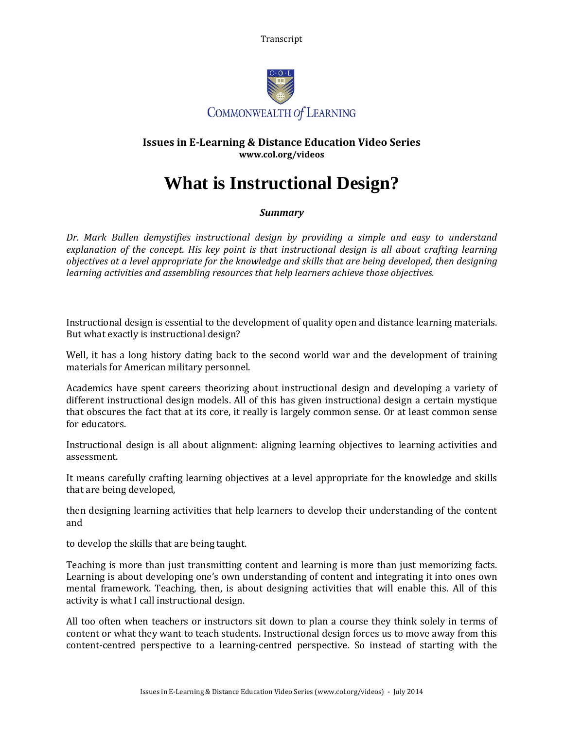Transcript



## **Issues in E-Learning & Distance Education Video Series www.col.org/videos**

## **What is Instructional Design?**

## *Summary*

*Dr. Mark Bullen demystifies instructional design by providing a simple and easy to understand explanation of the concept. His key point is that instructional design is all about crafting learning objectives at a level appropriate for the knowledge and skills that are being developed, then designing learning activities and assembling resources that help learners achieve those objectives.*

Instructional design is essential to the development of quality open and distance learning materials. But what exactly is instructional design?

Well, it has a long history dating back to the second world war and the development of training materials for American military personnel.

Academics have spent careers theorizing about instructional design and developing a variety of different instructional design models. All of this has given instructional design a certain mystique that obscures the fact that at its core, it really is largely common sense. Or at least common sense for educators.

Instructional design is all about alignment: aligning learning objectives to learning activities and assessment.

It means carefully crafting learning objectives at a level appropriate for the knowledge and skills that are being developed,

then designing learning activities that help learners to develop their understanding of the content and

to develop the skills that are being taught.

Teaching is more than just transmitting content and learning is more than just memorizing facts. Learning is about developing one's own understanding of content and integrating it into ones own mental framework. Teaching, then, is about designing activities that will enable this. All of this activity is what I call instructional design.

All too often when teachers or instructors sit down to plan a course they think solely in terms of content or what they want to teach students. Instructional design forces us to move away from this content-centred perspective to a learning-centred perspective. So instead of starting with the